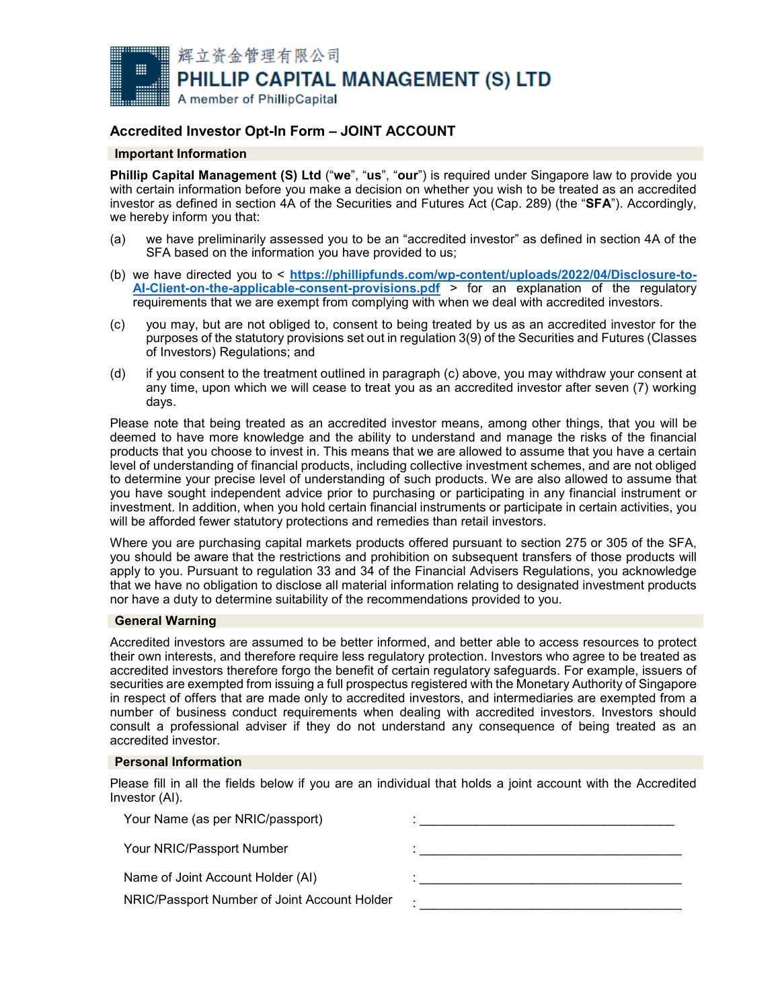

# **Accredited Investor Opt-In Form – JOINT ACCOUNT**

## **Important Information**

**Phillip Capital Management (S) Ltd** ("**we**", "**us**", "**our**") is required under Singapore law to provide you with certain information before you make a decision on whether you wish to be treated as an accredited investor as defined in section 4A of the Securities and Futures Act (Cap. 289) (the "**SFA**"). Accordingly, we hereby inform you that:

- (a) we have preliminarily assessed you to be an "accredited investor" as defined in section 4A of the SFA based on the information you have provided to us;
- (b) we have directed you to < **[https://phillipfunds.com/wp-content/uploads/2022/04/Disclosure-to-](https://phillipfunds.com/wp-content/uploads/2022/04/Disclosure-to-AI-Client-on-the-applicable-consent-provisions.pdf)[AI-Client-on-the-applicable-consent-provisions.pdf](https://phillipfunds.com/wp-content/uploads/2022/04/Disclosure-to-AI-Client-on-the-applicable-consent-provisions.pdf)** > for an explanation of the regulatory requirements that we are exempt from complying with when we deal with accredited investors.
- (c) you may, but are not obliged to, consent to being treated by us as an accredited investor for the purposes of the statutory provisions set out in regulation 3(9) of the Securities and Futures (Classes of Investors) Regulations; and
- (d) if you consent to the treatment outlined in paragraph (c) above, you may withdraw your consent at any time, upon which we will cease to treat you as an accredited investor after seven (7) working days.

Please note that being treated as an accredited investor means, among other things, that you will be deemed to have more knowledge and the ability to understand and manage the risks of the financial products that you choose to invest in. This means that we are allowed to assume that you have a certain level of understanding of financial products, including collective investment schemes, and are not obliged to determine your precise level of understanding of such products. We are also allowed to assume that you have sought independent advice prior to purchasing or participating in any financial instrument or investment. In addition, when you hold certain financial instruments or participate in certain activities, you will be afforded fewer statutory protections and remedies than retail investors.

Where you are purchasing capital markets products offered pursuant to section 275 or 305 of the SFA, you should be aware that the restrictions and prohibition on subsequent transfers of those products will apply to you. Pursuant to regulation 33 and 34 of the Financial Advisers Regulations, you acknowledge that we have no obligation to disclose all material information relating to designated investment products nor have a duty to determine suitability of the recommendations provided to you.

## **General Warning**

Accredited investors are assumed to be better informed, and better able to access resources to protect their own interests, and therefore require less regulatory protection. Investors who agree to be treated as accredited investors therefore forgo the benefit of certain regulatory safeguards. For example, issuers of securities are exempted from issuing a full prospectus registered with the Monetary Authority of Singapore in respect of offers that are made only to accredited investors, and intermediaries are exempted from a number of business conduct requirements when dealing with accredited investors. Investors should consult a professional adviser if they do not understand any consequence of being treated as an accredited investor.

#### **Personal Information**

Please fill in all the fields below if you are an individual that holds a joint account with the Accredited Investor (AI).

| Your Name (as per NRIC/passport)             |   |
|----------------------------------------------|---|
| Your NRIC/Passport Number                    |   |
| Name of Joint Account Holder (AI)            |   |
| NRIC/Passport Number of Joint Account Holder | ٠ |
|                                              |   |